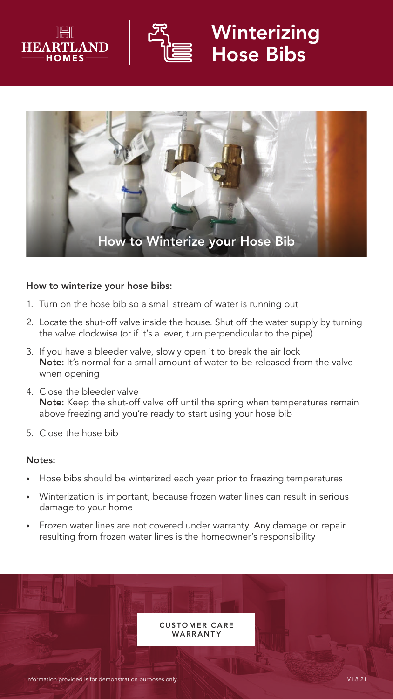



## Winterizing Hose Bibs



#### How to winterize your hose bibs:

- 1. Turn on the hose bib so a small stream of water is running out
- 2. Locate the shut-off valve inside the house. Shut off the water supply by turning the valve clockwise (or if it's a lever, turn perpendicular to the pipe)
- 3. If you have a bleeder valve, slowly open it to break the air lock Note: It's normal for a small amount of water to be released from the valve when opening
- 4. Close the bleeder valve Note: Keep the shut-off valve off until the spring when temperatures remain above freezing and you're ready to start using your hose bib
- 5. Close the hose bib

#### Notes:

- Hose bibs should be winterized each year prior to freezing temperatures
- Winterization is important, because frozen water lines can result in serious damage to your home
- Frozen water lines are not covered under warranty. Any damage or repair resulting from frozen water lines is the homeowner's responsibility

**CUSTOMER CARE WARRANTY**